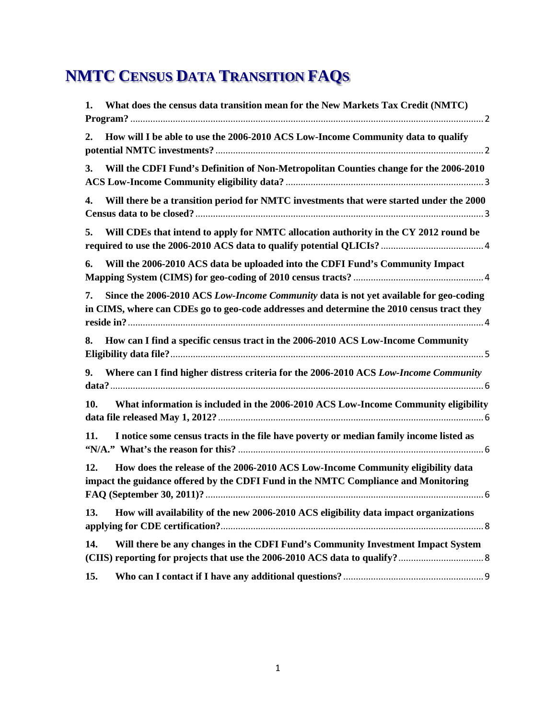# **NMTC CENSUS DATA TRANSITION FAQS**

| 1.  | What does the census data transition mean for the New Markets Tax Credit (NMTC)                                                                                                    |
|-----|------------------------------------------------------------------------------------------------------------------------------------------------------------------------------------|
| 2.  | How will I be able to use the 2006-2010 ACS Low-Income Community data to qualify                                                                                                   |
| 3.  | Will the CDFI Fund's Definition of Non-Metropolitan Counties change for the 2006-2010                                                                                              |
| 4.  | Will there be a transition period for NMTC investments that were started under the 2000                                                                                            |
| 5.  | Will CDEs that intend to apply for NMTC allocation authority in the CY 2012 round be                                                                                               |
| 6.  | Will the 2006-2010 ACS data be uploaded into the CDFI Fund's Community Impact                                                                                                      |
| 7.  | Since the 2006-2010 ACS Low-Income Community data is not yet available for geo-coding<br>in CIMS, where can CDEs go to geo-code addresses and determine the 2010 census tract they |
| 8.  | How can I find a specific census tract in the 2006-2010 ACS Low-Income Community                                                                                                   |
| 9.  | Where can I find higher distress criteria for the 2006-2010 ACS Low-Income Community                                                                                               |
| 10. | What information is included in the 2006-2010 ACS Low-Income Community eligibility                                                                                                 |
| 11. | I notice some census tracts in the file have poverty or median family income listed as                                                                                             |
| 12. | How does the release of the 2006-2010 ACS Low-Income Community eligibility data<br>impact the guidance offered by the CDFI Fund in the NMTC Compliance and Monitoring              |
| 13. | How will availability of the new 2006-2010 ACS eligibility data impact organizations                                                                                               |
| 14. | Will there be any changes in the CDFI Fund's Community Investment Impact System                                                                                                    |
| 15. |                                                                                                                                                                                    |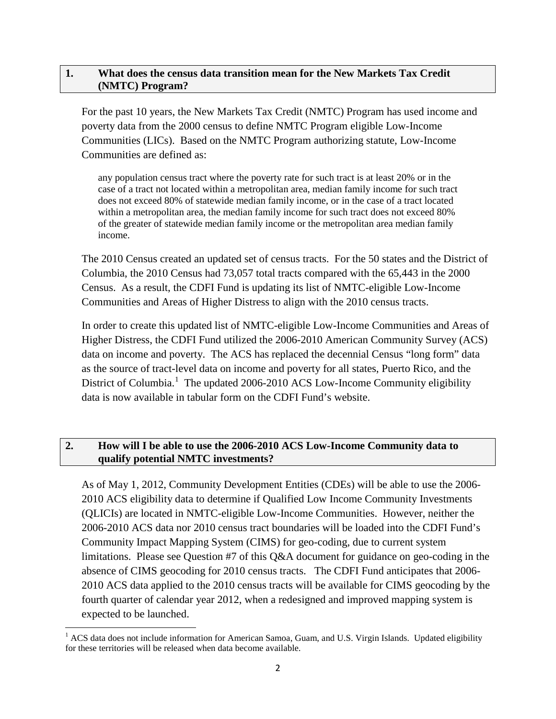#### <span id="page-1-0"></span>**1. What does the census data transition mean for the New Markets Tax Credit (NMTC) Program?**

For the past 10 years, the New Markets Tax Credit (NMTC) Program has used income and poverty data from the 2000 census to define NMTC Program eligible Low-Income Communities (LICs). Based on the NMTC Program authorizing statute, Low-Income Communities are defined as:

any population census tract where the poverty rate for such tract is at least 20% or in the case of a tract not located within a metropolitan area, median family income for such tract does not exceed 80% of statewide median family income, or in the case of a tract located within a metropolitan area, the median family income for such tract does not exceed 80% of the greater of statewide median family income or the metropolitan area median family income.

The 2010 Census created an updated set of census tracts. For the 50 states and the District of Columbia, the 2010 Census had 73,057 total tracts compared with the 65,443 in the 2000 Census. As a result, the CDFI Fund is updating its list of NMTC-eligible Low-Income Communities and Areas of Higher Distress to align with the 2010 census tracts.

In order to create this updated list of NMTC-eligible Low-Income Communities and Areas of Higher Distress, the CDFI Fund utilized the 2006-2010 American Community Survey (ACS) data on income and poverty. The ACS has replaced the decennial Census "long form" data as the source of tract-level data on income and poverty for all states, Puerto Rico, and the District of Columbia.<sup>[1](#page-1-2)</sup> The updated 2006-2010 ACS Low-Income Community eligibility data is now available in tabular form on the CDFI Fund's website.

# <span id="page-1-1"></span>**2. How will I be able to use the 2006-2010 ACS Low-Income Community data to qualify potential NMTC investments?**

As of May 1, 2012, Community Development Entities (CDEs) will be able to use the 2006- 2010 ACS eligibility data to determine if Qualified Low Income Community Investments (QLICIs) are located in NMTC-eligible Low-Income Communities. However, neither the 2006-2010 ACS data nor 2010 census tract boundaries will be loaded into the CDFI Fund's Community Impact Mapping System (CIMS) for geo-coding, due to current system limitations. Please see Question #7 of this Q&A document for guidance on geo-coding in the absence of CIMS geocoding for 2010 census tracts. The CDFI Fund anticipates that 2006- 2010 ACS data applied to the 2010 census tracts will be available for CIMS geocoding by the fourth quarter of calendar year 2012, when a redesigned and improved mapping system is expected to be launched.

<span id="page-1-2"></span><sup>&</sup>lt;sup>1</sup> ACS data does not include information for American Samoa, Guam, and U.S. Virgin Islands. Updated eligibility for these territories will be released when data become available.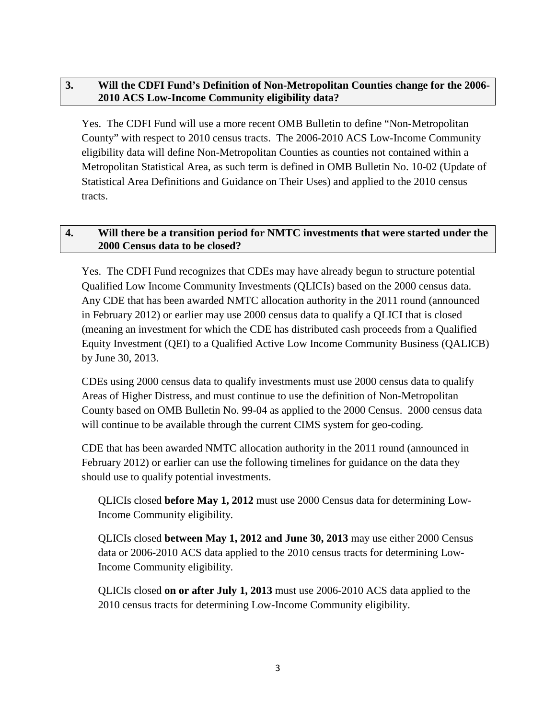# <span id="page-2-0"></span>**3. Will the CDFI Fund's Definition of Non-Metropolitan Counties change for the 2006- 2010 ACS Low-Income Community eligibility data?**

Yes. The CDFI Fund will use a more recent OMB Bulletin to define "Non-Metropolitan County" with respect to 2010 census tracts. The 2006-2010 ACS Low-Income Community eligibility data will define Non-Metropolitan Counties as counties not contained within a Metropolitan Statistical Area, as such term is defined in OMB Bulletin No. 10-02 (Update of Statistical Area Definitions and Guidance on Their Uses) and applied to the 2010 census tracts.

## <span id="page-2-1"></span>**4. Will there be a transition period for NMTC investments that were started under the 2000 Census data to be closed?**

Yes. The CDFI Fund recognizes that CDEs may have already begun to structure potential Qualified Low Income Community Investments (QLICIs) based on the 2000 census data. Any CDE that has been awarded NMTC allocation authority in the 2011 round (announced in February 2012) or earlier may use 2000 census data to qualify a QLICI that is closed (meaning an investment for which the CDE has distributed cash proceeds from a Qualified Equity Investment (QEI) to a Qualified Active Low Income Community Business (QALICB) by June 30, 2013.

CDEs using 2000 census data to qualify investments must use 2000 census data to qualify Areas of Higher Distress, and must continue to use the definition of Non-Metropolitan County based on OMB Bulletin No. 99-04 as applied to the 2000 Census. 2000 census data will continue to be available through the current CIMS system for geo-coding.

CDE that has been awarded NMTC allocation authority in the 2011 round (announced in February 2012) or earlier can use the following timelines for guidance on the data they should use to qualify potential investments.

QLICIs closed **before May 1, 2012** must use 2000 Census data for determining Low-Income Community eligibility.

QLICIs closed **between May 1, 2012 and June 30, 2013** may use either 2000 Census data or 2006-2010 ACS data applied to the 2010 census tracts for determining Low-Income Community eligibility.

QLICIs closed **on or after July 1, 2013** must use 2006-2010 ACS data applied to the 2010 census tracts for determining Low-Income Community eligibility.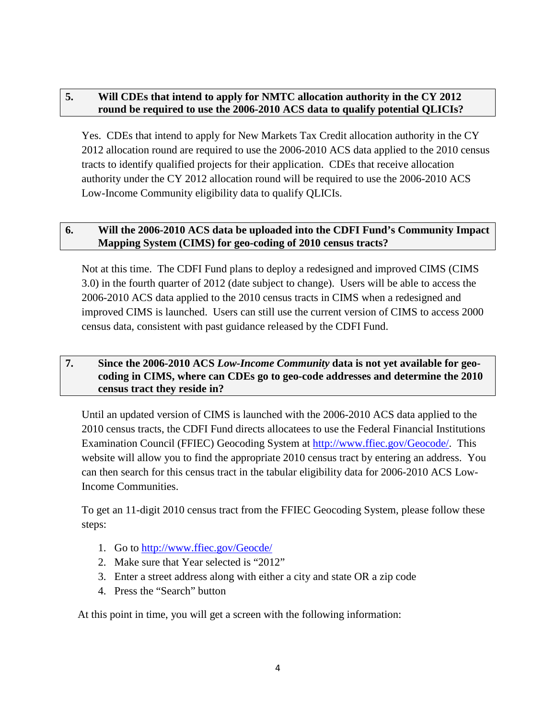# <span id="page-3-0"></span>**5. Will CDEs that intend to apply for NMTC allocation authority in the CY 2012 round be required to use the 2006-2010 ACS data to qualify potential QLICIs?**

Yes. CDEs that intend to apply for New Markets Tax Credit allocation authority in the CY 2012 allocation round are required to use the 2006-2010 ACS data applied to the 2010 census tracts to identify qualified projects for their application. CDEs that receive allocation authority under the CY 2012 allocation round will be required to use the 2006-2010 ACS Low-Income Community eligibility data to qualify QLICIs.

## <span id="page-3-1"></span>**6. Will the 2006-2010 ACS data be uploaded into the CDFI Fund's Community Impact Mapping System (CIMS) for geo-coding of 2010 census tracts?**

Not at this time. The CDFI Fund plans to deploy a redesigned and improved CIMS (CIMS 3.0) in the fourth quarter of 2012 (date subject to change). Users will be able to access the 2006-2010 ACS data applied to the 2010 census tracts in CIMS when a redesigned and improved CIMS is launched. Users can still use the current version of CIMS to access 2000 census data, consistent with past guidance released by the CDFI Fund.

## <span id="page-3-2"></span>**7. Since the 2006-2010 ACS** *Low-Income Community* **data is not yet available for geocoding in CIMS, where can CDEs go to geo-code addresses and determine the 2010 census tract they reside in?**

Until an updated version of CIMS is launched with the 2006-2010 ACS data applied to the 2010 census tracts, the CDFI Fund directs allocatees to use the Federal Financial Institutions Examination Council (FFIEC) Geocoding System at [http://www.ffiec.gov/Geocode/.](http://www.ffiec.gov/Geocode/) This website will allow you to find the appropriate 2010 census tract by entering an address. You can then search for this census tract in the tabular eligibility data for 2006-2010 ACS Low-Income Communities.

To get an 11-digit 2010 census tract from the FFIEC Geocoding System, please follow these steps:

- 1. Go to<http://www.ffiec.gov/Geocde/>
- 2. Make sure that Year selected is "2012"
- 3. Enter a street address along with either a city and state OR a zip code
- 4. Press the "Search" button

At this point in time, you will get a screen with the following information: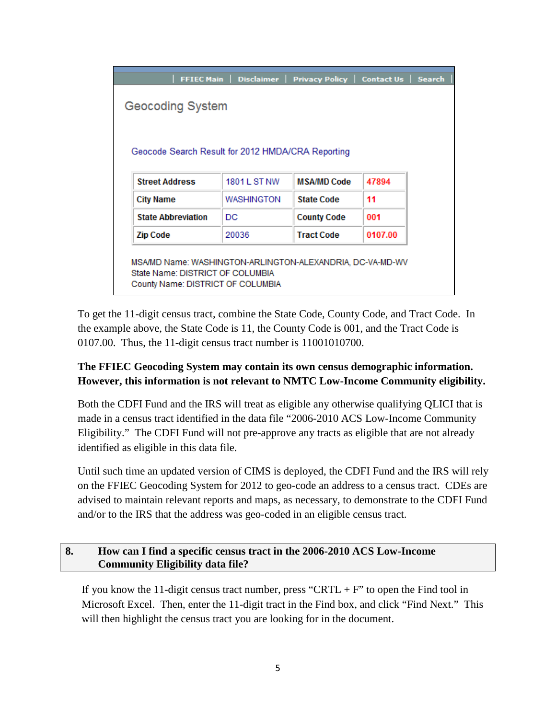| <b>FFIEC Main</b>                                                                             | Disclaimer          | Privacy Policy   Contact Us   Search |         |  |
|-----------------------------------------------------------------------------------------------|---------------------|--------------------------------------|---------|--|
| <b>Geocoding System</b>                                                                       |                     |                                      |         |  |
|                                                                                               |                     |                                      |         |  |
| Geocode Search Result for 2012 HMDA/CRA Reporting                                             |                     |                                      |         |  |
|                                                                                               |                     |                                      |         |  |
| <b>Street Address</b>                                                                         | <b>1801 L ST NW</b> | <b>MSA/MD Code</b>                   | 47894   |  |
| <b>City Name</b>                                                                              | WASHINGTON          | <b>State Code</b>                    | 11      |  |
| <b>State Abbreviation</b>                                                                     | DC                  | <b>County Code</b>                   | 001     |  |
| <b>Zip Code</b>                                                                               | 20036               | <b>Tract Code</b>                    | 0107.00 |  |
|                                                                                               |                     |                                      |         |  |
|                                                                                               |                     |                                      |         |  |
| MSA/MD Name: WASHINGTON-ARLINGTON-ALEXANDRIA, DC-VA-MD-WV<br>State Name: DISTRICT OF COLUMBIA |                     |                                      |         |  |

To get the 11-digit census tract, combine the State Code, County Code, and Tract Code. In the example above, the State Code is 11, the County Code is 001, and the Tract Code is 0107.00. Thus, the 11-digit census tract number is 11001010700.

# **The FFIEC Geocoding System may contain its own census demographic information. However, this information is not relevant to NMTC Low-Income Community eligibility.**

Both the CDFI Fund and the IRS will treat as eligible any otherwise qualifying QLICI that is made in a census tract identified in the data file "2006-2010 ACS Low-Income Community Eligibility." The CDFI Fund will not pre-approve any tracts as eligible that are not already identified as eligible in this data file.

Until such time an updated version of CIMS is deployed, the CDFI Fund and the IRS will rely on the FFIEC Geocoding System for 2012 to geo-code an address to a census tract. CDEs are advised to maintain relevant reports and maps, as necessary, to demonstrate to the CDFI Fund and/or to the IRS that the address was geo-coded in an eligible census tract.

# <span id="page-4-0"></span>**8. How can I find a specific census tract in the 2006-2010 ACS Low-Income Community Eligibility data file?**

If you know the 11-digit census tract number, press "CRTL + F" to open the Find tool in Microsoft Excel. Then, enter the 11-digit tract in the Find box, and click "Find Next." This will then highlight the census tract you are looking for in the document.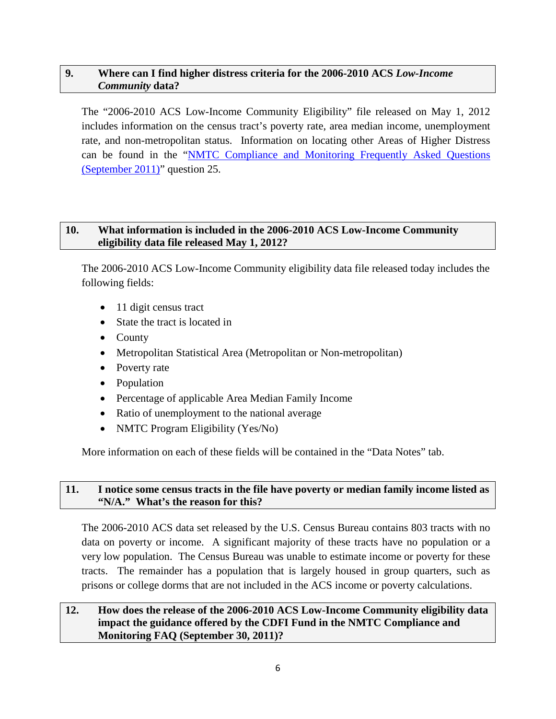## <span id="page-5-0"></span>**9. Where can I find higher distress criteria for the 2006-2010 ACS** *Low-Income Community* **data?**

The "2006-2010 ACS Low-Income Community Eligibility" file released on May 1, 2012 includes information on the census tract's poverty rate, area median income, unemployment rate, and non-metropolitan status. Information on locating other Areas of Higher Distress can be found in the ["NMTC Compliance and Monitoring Frequently Asked Questions](http://www.cdfifund.gov/docs/nmtc/2011/NMTC%20Compliance%20Monitoring%20FAQ%20September%202011.pdf)  [\(September 2011\)"](http://www.cdfifund.gov/docs/nmtc/2011/NMTC%20Compliance%20Monitoring%20FAQ%20September%202011.pdf) question 25.

## <span id="page-5-1"></span>**10. What information is included in the 2006-2010 ACS Low-Income Community eligibility data file released May 1, 2012?**

The 2006-2010 ACS Low-Income Community eligibility data file released today includes the following fields:

- 11 digit census tract
- State the tract is located in
- County
- Metropolitan Statistical Area (Metropolitan or Non-metropolitan)
- Poverty rate
- Population
- Percentage of applicable Area Median Family Income
- Ratio of unemployment to the national average
- NMTC Program Eligibility (Yes/No)

More information on each of these fields will be contained in the "Data Notes" tab.

#### <span id="page-5-2"></span>**11. I notice some census tracts in the file have poverty or median family income listed as "N/A." What's the reason for this?**

The 2006-2010 ACS data set released by the U.S. Census Bureau contains 803 tracts with no data on poverty or income. A significant majority of these tracts have no population or a very low population. The Census Bureau was unable to estimate income or poverty for these tracts. The remainder has a population that is largely housed in group quarters, such as prisons or college dorms that are not included in the ACS income or poverty calculations.

## <span id="page-5-3"></span>**12. How does the release of the 2006-2010 ACS Low-Income Community eligibility data impact the guidance offered by the CDFI Fund in the NMTC Compliance and Monitoring FAQ (September 30, 2011)?**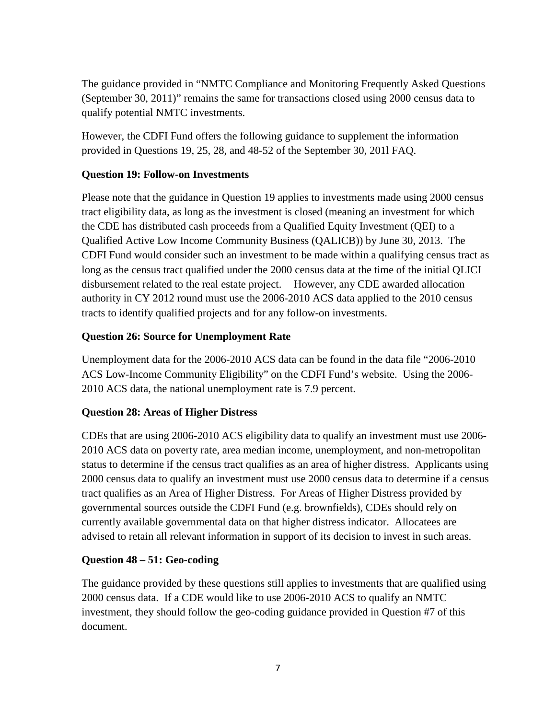The guidance provided in "NMTC Compliance and Monitoring Frequently Asked Questions (September 30, 2011)" remains the same for transactions closed using 2000 census data to qualify potential NMTC investments.

However, the CDFI Fund offers the following guidance to supplement the information provided in Questions 19, 25, 28, and 48-52 of the September 30, 201l FAQ.

## **Question 19: Follow-on Investments**

Please note that the guidance in Question 19 applies to investments made using 2000 census tract eligibility data, as long as the investment is closed (meaning an investment for which the CDE has distributed cash proceeds from a Qualified Equity Investment (QEI) to a Qualified Active Low Income Community Business (QALICB)) by June 30, 2013. The CDFI Fund would consider such an investment to be made within a qualifying census tract as long as the census tract qualified under the 2000 census data at the time of the initial QLICI disbursement related to the real estate project. However, any CDE awarded allocation authority in CY 2012 round must use the 2006-2010 ACS data applied to the 2010 census tracts to identify qualified projects and for any follow-on investments.

# **Question 26: Source for Unemployment Rate**

Unemployment data for the 2006-2010 ACS data can be found in the data file "2006-2010 ACS Low-Income Community Eligibility" on the CDFI Fund's website. Using the 2006- 2010 ACS data, the national unemployment rate is 7.9 percent.

# **Question 28: Areas of Higher Distress**

CDEs that are using 2006-2010 ACS eligibility data to qualify an investment must use 2006- 2010 ACS data on poverty rate, area median income, unemployment, and non-metropolitan status to determine if the census tract qualifies as an area of higher distress. Applicants using 2000 census data to qualify an investment must use 2000 census data to determine if a census tract qualifies as an Area of Higher Distress. For Areas of Higher Distress provided by governmental sources outside the CDFI Fund (e.g. brownfields), CDEs should rely on currently available governmental data on that higher distress indicator. Allocatees are advised to retain all relevant information in support of its decision to invest in such areas.

# **Question 48 – 51: Geo-coding**

The guidance provided by these questions still applies to investments that are qualified using 2000 census data. If a CDE would like to use 2006-2010 ACS to qualify an NMTC investment, they should follow the geo-coding guidance provided in Question #7 of this document.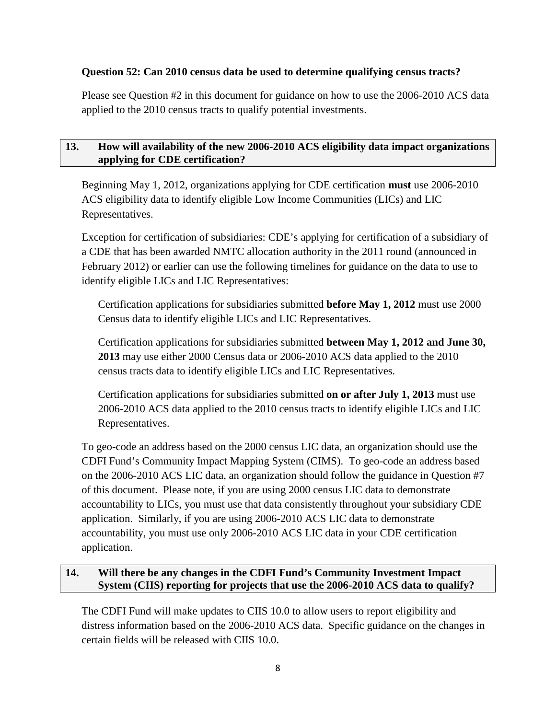## **Question 52: Can 2010 census data be used to determine qualifying census tracts?**

Please see Question #2 in this document for guidance on how to use the 2006-2010 ACS data applied to the 2010 census tracts to qualify potential investments.

## <span id="page-7-0"></span>**13. How will availability of the new 2006-2010 ACS eligibility data impact organizations applying for CDE certification?**

Beginning May 1, 2012, organizations applying for CDE certification **must** use 2006-2010 ACS eligibility data to identify eligible Low Income Communities (LICs) and LIC Representatives.

Exception for certification of subsidiaries: CDE's applying for certification of a subsidiary of a CDE that has been awarded NMTC allocation authority in the 2011 round (announced in February 2012) or earlier can use the following timelines for guidance on the data to use to identify eligible LICs and LIC Representatives:

Certification applications for subsidiaries submitted **before May 1, 2012** must use 2000 Census data to identify eligible LICs and LIC Representatives.

Certification applications for subsidiaries submitted **between May 1, 2012 and June 30, 2013** may use either 2000 Census data or 2006-2010 ACS data applied to the 2010 census tracts data to identify eligible LICs and LIC Representatives.

Certification applications for subsidiaries submitted **on or after July 1, 2013** must use 2006-2010 ACS data applied to the 2010 census tracts to identify eligible LICs and LIC Representatives.

To geo-code an address based on the 2000 census LIC data, an organization should use the CDFI Fund's Community Impact Mapping System (CIMS). To geo-code an address based on the 2006-2010 ACS LIC data, an organization should follow the guidance in Question #7 of this document. Please note, if you are using 2000 census LIC data to demonstrate accountability to LICs, you must use that data consistently throughout your subsidiary CDE application. Similarly, if you are using 2006-2010 ACS LIC data to demonstrate accountability, you must use only 2006-2010 ACS LIC data in your CDE certification application.

# <span id="page-7-1"></span>**14. Will there be any changes in the CDFI Fund's Community Investment Impact System (CIIS) reporting for projects that use the 2006-2010 ACS data to qualify?**

The CDFI Fund will make updates to CIIS 10.0 to allow users to report eligibility and distress information based on the 2006-2010 ACS data. Specific guidance on the changes in certain fields will be released with CIIS 10.0.